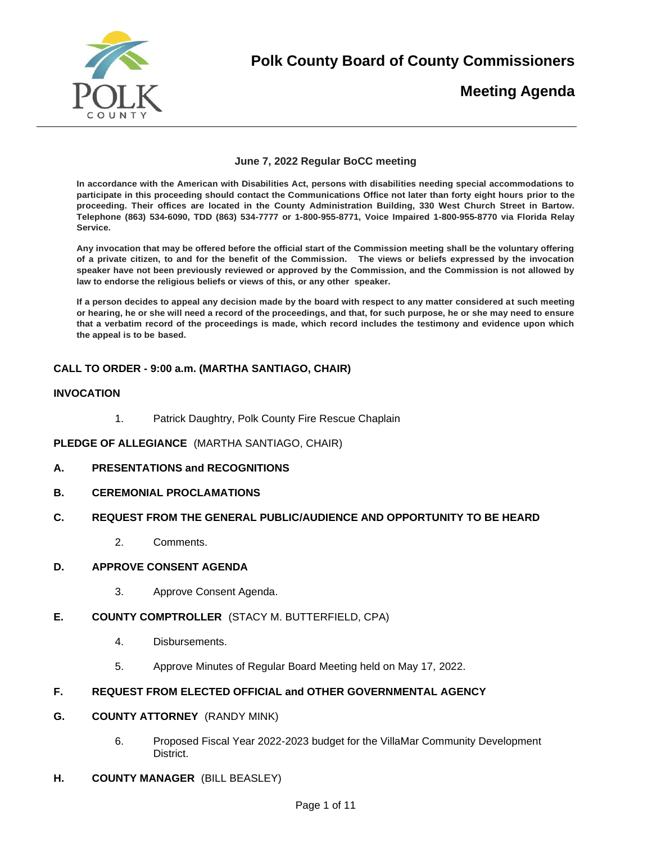

**Polk County Board of County Commissioners** 

# **Meeting Agenda**

## **June 7, 2022 Regular BoCC meeting**

**In accordance with the American with Disabilities Act, persons with disabilities needing special accommodations to participate in this proceeding should contact the Communications Office not later than forty eight hours prior to the proceeding. Their offices are located in the County Administration Building, 330 West Church Street in Bartow. Telephone (863) 534-6090, TDD (863) 534-7777 or 1-800-955-8771, Voice Impaired 1-800-955-8770 via Florida Relay Service.** 

**Any invocation that may be offered before the official start of the Commission meeting shall be the voluntary offering of a private citizen, to and for the benefit of the Commission. The views or beliefs expressed by the invocation speaker have not been previously reviewed or approved by the Commission, and the Commission is not allowed by law to endorse the religious beliefs or views of this, or any other speaker.**

**If a person decides to appeal any decision made by the board with respect to any matter considered at such meeting or hearing, he or she will need a record of the proceedings, and that, for such purpose, he or she may need to ensure that a verbatim record of the proceedings is made, which record includes the testimony and evidence upon which the appeal is to be based.** 

# **CALL TO ORDER - 9:00 a.m. (MARTHA SANTIAGO, CHAIR)**

## **INVOCATION**

1. Patrick Daughtry, Polk County Fire Rescue Chaplain

**PLEDGE OF ALLEGIANCE** (MARTHA SANTIAGO, CHAIR)

- **A. PRESENTATIONS and RECOGNITIONS**
- **B. CEREMONIAL PROCLAMATIONS**

## **C. REQUEST FROM THE GENERAL PUBLIC/AUDIENCE AND OPPORTUNITY TO BE HEARD**

2. Comments.

## **D. APPROVE CONSENT AGENDA**

- 3. Approve Consent Agenda.
- **E. COUNTY COMPTROLLER** (STACY M. BUTTERFIELD, CPA)
	- 4. Disbursements.
	- 5. Approve Minutes of Regular Board Meeting held on May 17, 2022.

# **F. REQUEST FROM ELECTED OFFICIAL and OTHER GOVERNMENTAL AGENCY**

- **G. COUNTY ATTORNEY** (RANDY MINK)
	- 6. Proposed Fiscal Year 2022-2023 budget for the VillaMar Community Development **District**
- **H. COUNTY MANAGER** (BILL BEASLEY)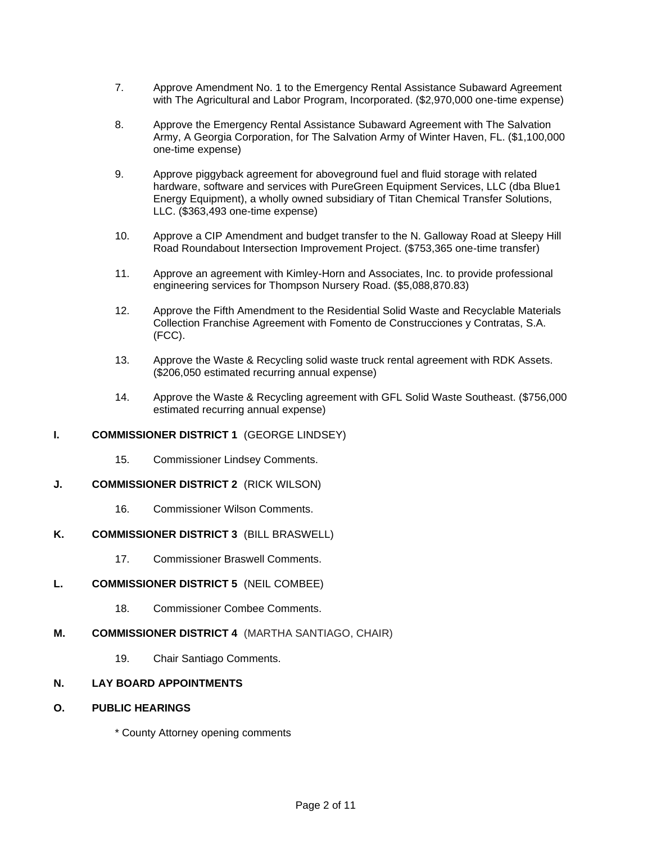- 7. Approve Amendment No. 1 to the Emergency Rental Assistance Subaward Agreement with The Agricultural and Labor Program, Incorporated. (\$2,970,000 one-time expense)
- 8. Approve the Emergency Rental Assistance Subaward Agreement with The Salvation Army, A Georgia Corporation, for The Salvation Army of Winter Haven, FL. (\$1,100,000 one-time expense)
- 9. Approve piggyback agreement for aboveground fuel and fluid storage with related hardware, software and services with PureGreen Equipment Services, LLC (dba Blue1 Energy Equipment), a wholly owned subsidiary of Titan Chemical Transfer Solutions, LLC. (\$363,493 one-time expense)
- 10. Approve a CIP Amendment and budget transfer to the N. Galloway Road at Sleepy Hill Road Roundabout Intersection Improvement Project. (\$753,365 one-time transfer)
- 11. Approve an agreement with Kimley-Horn and Associates, Inc. to provide professional engineering services for Thompson Nursery Road. (\$5,088,870.83)
- 12. Approve the Fifth Amendment to the Residential Solid Waste and Recyclable Materials Collection Franchise Agreement with Fomento de Construcciones y Contratas, S.A. (FCC).
- 13. Approve the Waste & Recycling solid waste truck rental agreement with RDK Assets. (\$206,050 estimated recurring annual expense)
- 14. Approve the Waste & Recycling agreement with GFL Solid Waste Southeast. (\$756,000 estimated recurring annual expense)

## **I. COMMISSIONER DISTRICT 1** (GEORGE LINDSEY)

15. Commissioner Lindsey Comments.

## **J. COMMISSIONER DISTRICT 2** (RICK WILSON)

16. Commissioner Wilson Comments.

## **K. COMMISSIONER DISTRICT 3** (BILL BRASWELL)

17. Commissioner Braswell Comments.

## **L. COMMISSIONER DISTRICT 5** (NEIL COMBEE)

- 18. Commissioner Combee Comments.
- **M. COMMISSIONER DISTRICT 4** (MARTHA SANTIAGO, CHAIR)
	- 19. Chair Santiago Comments.

## **N. LAY BOARD APPOINTMENTS**

**O. PUBLIC HEARINGS**

\* County Attorney opening comments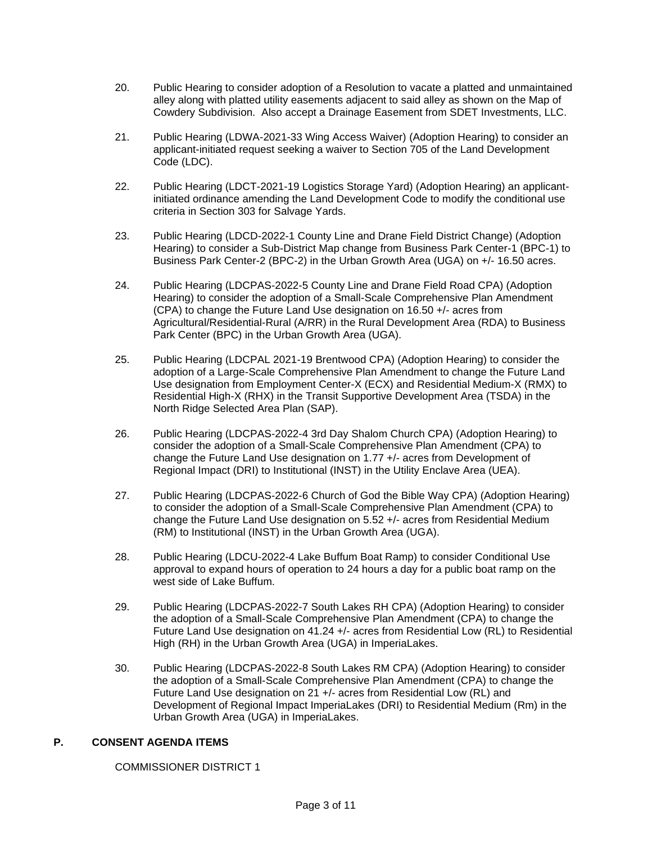- 20. Public Hearing to consider adoption of a Resolution to vacate a platted and unmaintained alley along with platted utility easements adjacent to said alley as shown on the Map of Cowdery Subdivision. Also accept a Drainage Easement from SDET Investments, LLC.
- 21. Public Hearing (LDWA-2021-33 Wing Access Waiver) (Adoption Hearing) to consider an applicant-initiated request seeking a waiver to Section 705 of the Land Development Code (LDC).
- 22. Public Hearing (LDCT-2021-19 Logistics Storage Yard) (Adoption Hearing) an applicantinitiated ordinance amending the Land Development Code to modify the conditional use criteria in Section 303 for Salvage Yards.
- 23. Public Hearing (LDCD-2022-1 County Line and Drane Field District Change) (Adoption Hearing) to consider a Sub-District Map change from Business Park Center-1 (BPC-1) to Business Park Center-2 (BPC-2) in the Urban Growth Area (UGA) on +/- 16.50 acres.
- 24. Public Hearing (LDCPAS-2022-5 County Line and Drane Field Road CPA) (Adoption Hearing) to consider the adoption of a Small-Scale Comprehensive Plan Amendment (CPA) to change the Future Land Use designation on 16.50 +/- acres from Agricultural/Residential-Rural (A/RR) in the Rural Development Area (RDA) to Business Park Center (BPC) in the Urban Growth Area (UGA).
- 25. Public Hearing (LDCPAL 2021-19 Brentwood CPA) (Adoption Hearing) to consider the adoption of a Large-Scale Comprehensive Plan Amendment to change the Future Land Use designation from Employment Center-X (ECX) and Residential Medium-X (RMX) to Residential High-X (RHX) in the Transit Supportive Development Area (TSDA) in the North Ridge Selected Area Plan (SAP).
- 26. Public Hearing (LDCPAS-2022-4 3rd Day Shalom Church CPA) (Adoption Hearing) to consider the adoption of a Small-Scale Comprehensive Plan Amendment (CPA) to change the Future Land Use designation on 1.77 +/- acres from Development of Regional Impact (DRI) to Institutional (INST) in the Utility Enclave Area (UEA).
- 27. Public Hearing (LDCPAS-2022-6 Church of God the Bible Way CPA) (Adoption Hearing) to consider the adoption of a Small-Scale Comprehensive Plan Amendment (CPA) to change the Future Land Use designation on 5.52 +/- acres from Residential Medium (RM) to Institutional (INST) in the Urban Growth Area (UGA).
- 28. Public Hearing (LDCU-2022-4 Lake Buffum Boat Ramp) to consider Conditional Use approval to expand hours of operation to 24 hours a day for a public boat ramp on the west side of Lake Buffum.
- 29. Public Hearing (LDCPAS-2022-7 South Lakes RH CPA) (Adoption Hearing) to consider the adoption of a Small-Scale Comprehensive Plan Amendment (CPA) to change the Future Land Use designation on 41.24 +/- acres from Residential Low (RL) to Residential High (RH) in the Urban Growth Area (UGA) in ImperiaLakes.
- 30. Public Hearing (LDCPAS-2022-8 South Lakes RM CPA) (Adoption Hearing) to consider the adoption of a Small-Scale Comprehensive Plan Amendment (CPA) to change the Future Land Use designation on 21 +/- acres from Residential Low (RL) and Development of Regional Impact ImperiaLakes (DRI) to Residential Medium (Rm) in the Urban Growth Area (UGA) in ImperiaLakes.

## **P. CONSENT AGENDA ITEMS**

COMMISSIONER DISTRICT 1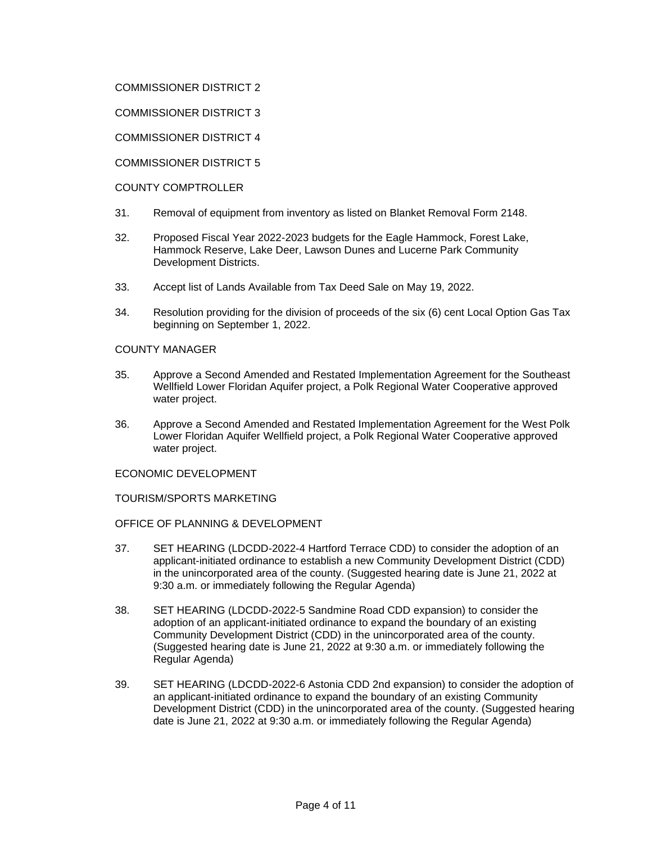## COMMISSIONER DISTRICT 2

COMMISSIONER DISTRICT 3

COMMISSIONER DISTRICT 4

COMMISSIONER DISTRICT 5

COUNTY COMPTROLLER

- 31. Removal of equipment from inventory as listed on Blanket Removal Form 2148.
- 32. Proposed Fiscal Year 2022-2023 budgets for the Eagle Hammock, Forest Lake, Hammock Reserve, Lake Deer, Lawson Dunes and Lucerne Park Community Development Districts.
- 33. Accept list of Lands Available from Tax Deed Sale on May 19, 2022.
- 34. Resolution providing for the division of proceeds of the six (6) cent Local Option Gas Tax beginning on September 1, 2022.

#### COUNTY MANAGER

- 35. Approve a Second Amended and Restated Implementation Agreement for the Southeast Wellfield Lower Floridan Aquifer project, a Polk Regional Water Cooperative approved water project.
- 36. Approve a Second Amended and Restated Implementation Agreement for the West Polk Lower Floridan Aquifer Wellfield project, a Polk Regional Water Cooperative approved water project.

## ECONOMIC DEVELOPMENT

TOURISM/SPORTS MARKETING

OFFICE OF PLANNING & DEVELOPMENT

- 37. SET HEARING (LDCDD-2022-4 Hartford Terrace CDD) to consider the adoption of an applicant-initiated ordinance to establish a new Community Development District (CDD) in the unincorporated area of the county. (Suggested hearing date is June 21, 2022 at 9:30 a.m. or immediately following the Regular Agenda)
- 38. SET HEARING (LDCDD-2022-5 Sandmine Road CDD expansion) to consider the adoption of an applicant-initiated ordinance to expand the boundary of an existing Community Development District (CDD) in the unincorporated area of the county. (Suggested hearing date is June 21, 2022 at 9:30 a.m. or immediately following the Regular Agenda)
- 39. SET HEARING (LDCDD-2022-6 Astonia CDD 2nd expansion) to consider the adoption of an applicant-initiated ordinance to expand the boundary of an existing Community Development District (CDD) in the unincorporated area of the county. (Suggested hearing date is June 21, 2022 at 9:30 a.m. or immediately following the Regular Agenda)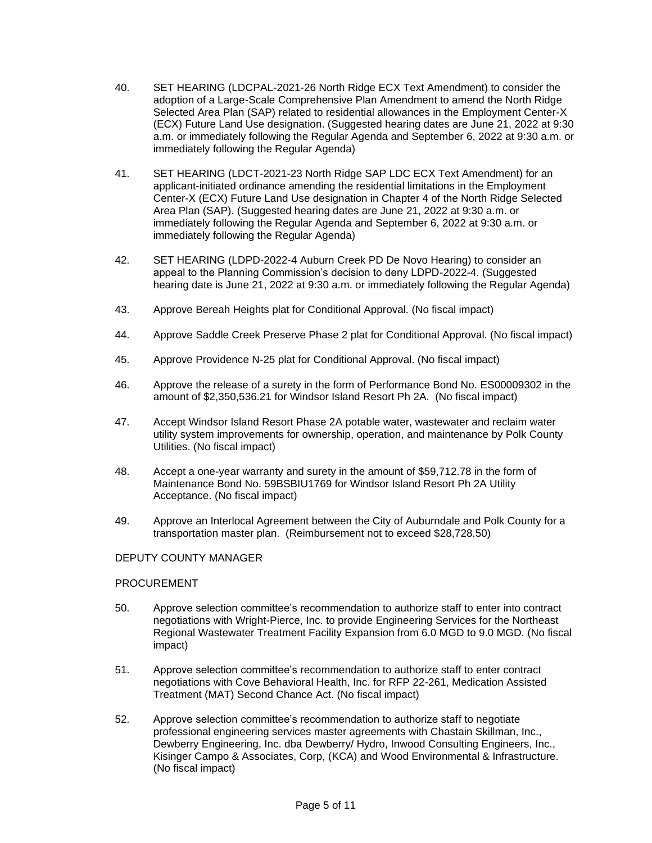- 40. SET HEARING (LDCPAL-2021-26 North Ridge ECX Text Amendment) to consider the adoption of a Large-Scale Comprehensive Plan Amendment to amend the North Ridge Selected Area Plan (SAP) related to residential allowances in the Employment Center-X (ECX) Future Land Use designation. (Suggested hearing dates are June 21, 2022 at 9:30 a.m. or immediately following the Regular Agenda and September 6, 2022 at 9:30 a.m. or immediately following the Regular Agenda)
- 41. SET HEARING (LDCT-2021-23 North Ridge SAP LDC ECX Text Amendment) for an applicant-initiated ordinance amending the residential limitations in the Employment Center-X (ECX) Future Land Use designation in Chapter 4 of the North Ridge Selected Area Plan (SAP). (Suggested hearing dates are June 21, 2022 at 9:30 a.m. or immediately following the Regular Agenda and September 6, 2022 at 9:30 a.m. or immediately following the Regular Agenda)
- 42. SET HEARING (LDPD-2022-4 Auburn Creek PD De Novo Hearing) to consider an appeal to the Planning Commission's decision to deny LDPD-2022-4. (Suggested hearing date is June 21, 2022 at 9:30 a.m. or immediately following the Regular Agenda)
- 43. Approve Bereah Heights plat for Conditional Approval. (No fiscal impact)
- 44. Approve Saddle Creek Preserve Phase 2 plat for Conditional Approval. (No fiscal impact)
- 45. Approve Providence N-25 plat for Conditional Approval. (No fiscal impact)
- 46. Approve the release of a surety in the form of Performance Bond No. ES00009302 in the amount of \$2,350,536.21 for Windsor Island Resort Ph 2A. (No fiscal impact)
- 47. Accept Windsor Island Resort Phase 2A potable water, wastewater and reclaim water utility system improvements for ownership, operation, and maintenance by Polk County Utilities. (No fiscal impact)
- 48. Accept a one-year warranty and surety in the amount of \$59,712.78 in the form of Maintenance Bond No. 59BSBIU1769 for Windsor Island Resort Ph 2A Utility Acceptance. (No fiscal impact)
- 49. Approve an Interlocal Agreement between the City of Auburndale and Polk County for a transportation master plan. (Reimbursement not to exceed \$28,728.50)

## DEPUTY COUNTY MANAGER

## PROCUREMENT

- 50. Approve selection committee's recommendation to authorize staff to enter into contract negotiations with Wright-Pierce, Inc. to provide Engineering Services for the Northeast Regional Wastewater Treatment Facility Expansion from 6.0 MGD to 9.0 MGD. (No fiscal impact)
- 51. Approve selection committee's recommendation to authorize staff to enter contract negotiations with Cove Behavioral Health, Inc. for RFP 22-261, Medication Assisted Treatment (MAT) Second Chance Act. (No fiscal impact)
- 52. Approve selection committee's recommendation to authorize staff to negotiate professional engineering services master agreements with Chastain Skillman, Inc., Dewberry Engineering, Inc. dba Dewberry/ Hydro, Inwood Consulting Engineers, Inc., Kisinger Campo & Associates, Corp, (KCA) and Wood Environmental & Infrastructure. (No fiscal impact)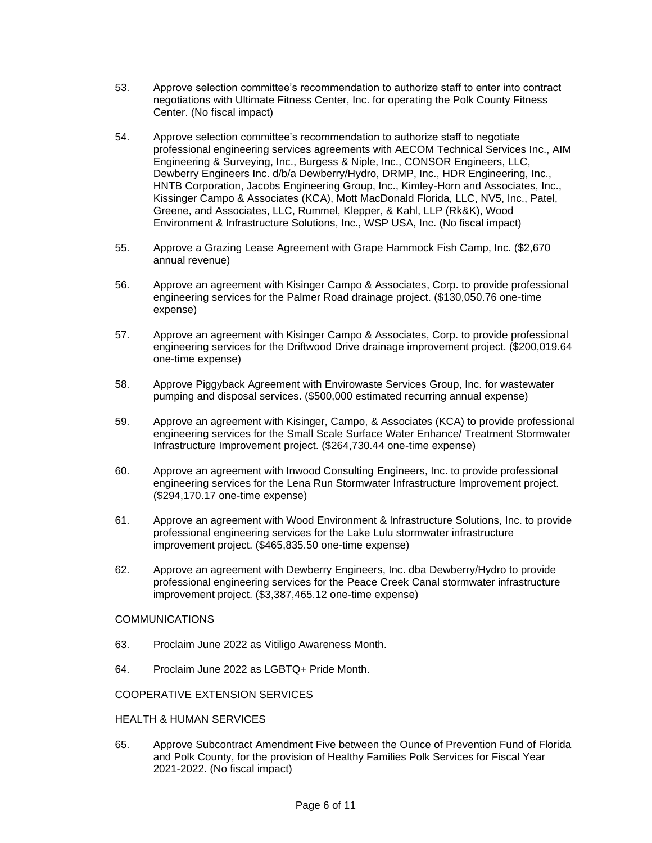- 53. Approve selection committee's recommendation to authorize staff to enter into contract negotiations with Ultimate Fitness Center, Inc. for operating the Polk County Fitness Center. (No fiscal impact)
- 54. Approve selection committee's recommendation to authorize staff to negotiate professional engineering services agreements with AECOM Technical Services Inc., AIM Engineering & Surveying, Inc., Burgess & Niple, Inc., CONSOR Engineers, LLC, Dewberry Engineers Inc. d/b/a Dewberry/Hydro, DRMP, Inc., HDR Engineering, Inc., HNTB Corporation, Jacobs Engineering Group, Inc., Kimley-Horn and Associates, Inc., Kissinger Campo & Associates (KCA), Mott MacDonald Florida, LLC, NV5, Inc., Patel, Greene, and Associates, LLC, Rummel, Klepper, & Kahl, LLP (Rk&K), Wood Environment & Infrastructure Solutions, Inc., WSP USA, Inc. (No fiscal impact)
- 55. Approve a Grazing Lease Agreement with Grape Hammock Fish Camp, Inc. (\$2,670 annual revenue)
- 56. Approve an agreement with Kisinger Campo & Associates, Corp. to provide professional engineering services for the Palmer Road drainage project. (\$130,050.76 one-time expense)
- 57. Approve an agreement with Kisinger Campo & Associates, Corp. to provide professional engineering services for the Driftwood Drive drainage improvement project. (\$200,019.64 one-time expense)
- 58. Approve Piggyback Agreement with Envirowaste Services Group, Inc. for wastewater pumping and disposal services. (\$500,000 estimated recurring annual expense)
- 59. Approve an agreement with Kisinger, Campo, & Associates (KCA) to provide professional engineering services for the Small Scale Surface Water Enhance/ Treatment Stormwater Infrastructure Improvement project. (\$264,730.44 one-time expense)
- 60. Approve an agreement with Inwood Consulting Engineers, Inc. to provide professional engineering services for the Lena Run Stormwater Infrastructure Improvement project. (\$294,170.17 one-time expense)
- 61. Approve an agreement with Wood Environment & Infrastructure Solutions, Inc. to provide professional engineering services for the Lake Lulu stormwater infrastructure improvement project. (\$465,835.50 one-time expense)
- 62. Approve an agreement with Dewberry Engineers, Inc. dba Dewberry/Hydro to provide professional engineering services for the Peace Creek Canal stormwater infrastructure improvement project. (\$3,387,465.12 one-time expense)

## COMMUNICATIONS

- 63. Proclaim June 2022 as Vitiligo Awareness Month.
- 64. Proclaim June 2022 as LGBTQ+ Pride Month.

#### COOPERATIVE EXTENSION SERVICES

#### HEALTH & HUMAN SERVICES

65. Approve Subcontract Amendment Five between the Ounce of Prevention Fund of Florida and Polk County, for the provision of Healthy Families Polk Services for Fiscal Year 2021-2022. (No fiscal impact)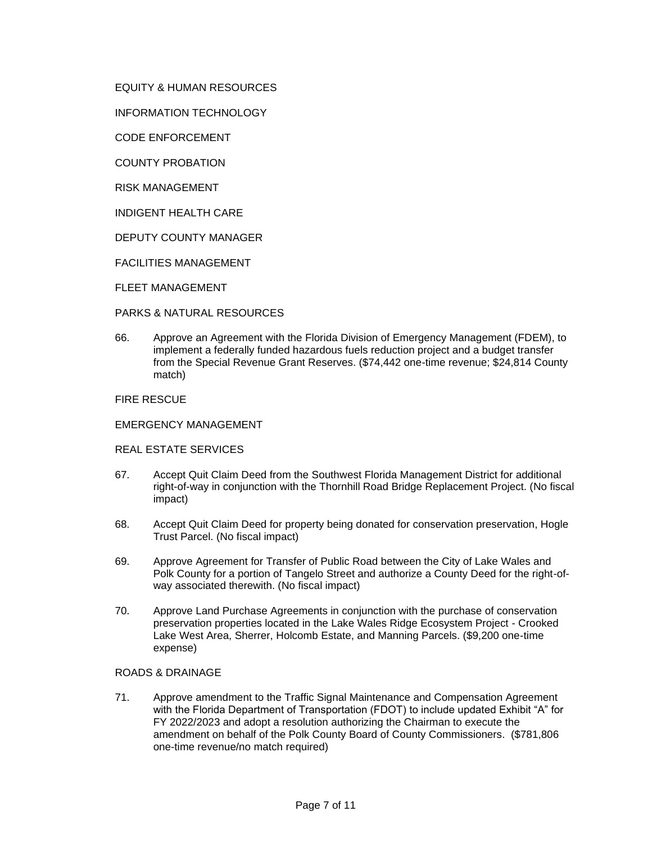EQUITY & HUMAN RESOURCES

INFORMATION TECHNOLOGY

CODE ENFORCEMENT

COUNTY PROBATION

RISK MANAGEMENT

INDIGENT HEALTH CARE

DEPUTY COUNTY MANAGER

FACILITIES MANAGEMENT

FLEET MANAGEMENT

PARKS & NATURAL RESOURCES

66. Approve an Agreement with the Florida Division of Emergency Management (FDEM), to implement a federally funded hazardous fuels reduction project and a budget transfer from the Special Revenue Grant Reserves. (\$74,442 one-time revenue; \$24,814 County match)

FIRE RESCUE

EMERGENCY MANAGEMENT

#### REAL ESTATE SERVICES

- 67. Accept Quit Claim Deed from the Southwest Florida Management District for additional right-of-way in conjunction with the Thornhill Road Bridge Replacement Project. (No fiscal impact)
- 68. Accept Quit Claim Deed for property being donated for conservation preservation, Hogle Trust Parcel. (No fiscal impact)
- 69. Approve Agreement for Transfer of Public Road between the City of Lake Wales and Polk County for a portion of Tangelo Street and authorize a County Deed for the right-ofway associated therewith. (No fiscal impact)
- 70. Approve Land Purchase Agreements in conjunction with the purchase of conservation preservation properties located in the Lake Wales Ridge Ecosystem Project - Crooked Lake West Area, Sherrer, Holcomb Estate, and Manning Parcels. (\$9,200 one-time expense)

## ROADS & DRAINAGE

71. Approve amendment to the Traffic Signal Maintenance and Compensation Agreement with the Florida Department of Transportation (FDOT) to include updated Exhibit "A" for FY 2022/2023 and adopt a resolution authorizing the Chairman to execute the amendment on behalf of the Polk County Board of County Commissioners. (\$781,806 one-time revenue/no match required)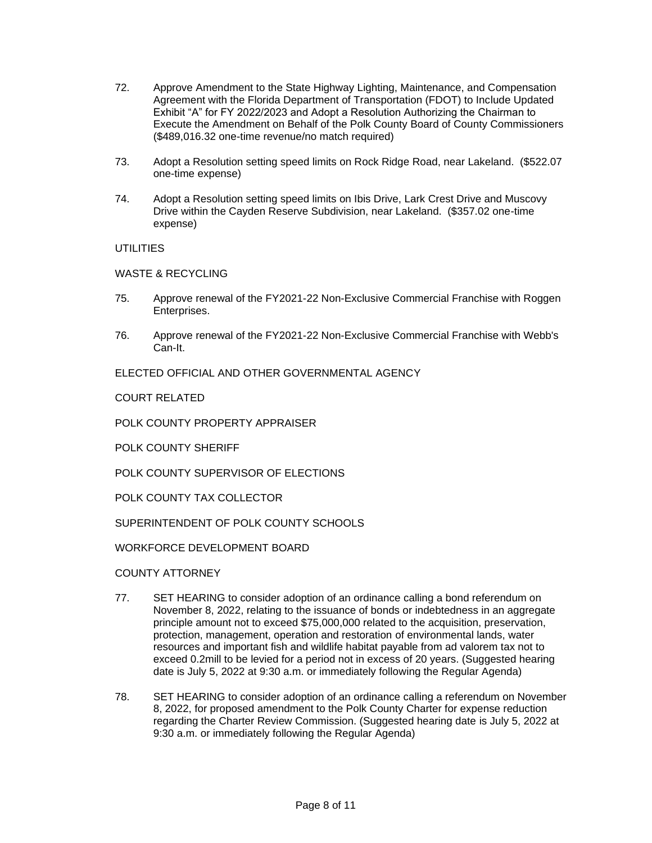- 72. Approve Amendment to the State Highway Lighting, Maintenance, and Compensation Agreement with the Florida Department of Transportation (FDOT) to Include Updated Exhibit "A" for FY 2022/2023 and Adopt a Resolution Authorizing the Chairman to Execute the Amendment on Behalf of the Polk County Board of County Commissioners (\$489,016.32 one-time revenue/no match required)
- 73. Adopt a Resolution setting speed limits on Rock Ridge Road, near Lakeland. (\$522.07 one-time expense)
- 74. Adopt a Resolution setting speed limits on Ibis Drive, Lark Crest Drive and Muscovy Drive within the Cayden Reserve Subdivision, near Lakeland. (\$357.02 one-time expense)

UTILITIES

WASTE & RECYCLING

- 75. Approve renewal of the FY2021-22 Non-Exclusive Commercial Franchise with Roggen Enterprises.
- 76. Approve renewal of the FY2021-22 Non-Exclusive Commercial Franchise with Webb's Can-It.

ELECTED OFFICIAL AND OTHER GOVERNMENTAL AGENCY

COURT RELATED

POLK COUNTY PROPERTY APPRAISER

POLK COUNTY SHERIFF

POLK COUNTY SUPERVISOR OF ELECTIONS

POLK COUNTY TAX COLLECTOR

SUPERINTENDENT OF POLK COUNTY SCHOOLS

WORKFORCE DEVELOPMENT BOARD

COUNTY ATTORNEY

- 77. SET HEARING to consider adoption of an ordinance calling a bond referendum on November 8, 2022, relating to the issuance of bonds or indebtedness in an aggregate principle amount not to exceed \$75,000,000 related to the acquisition, preservation, protection, management, operation and restoration of environmental lands, water resources and important fish and wildlife habitat payable from ad valorem tax not to exceed 0.2mill to be levied for a period not in excess of 20 years. (Suggested hearing date is July 5, 2022 at 9:30 a.m. or immediately following the Regular Agenda)
- 78. SET HEARING to consider adoption of an ordinance calling a referendum on November 8, 2022, for proposed amendment to the Polk County Charter for expense reduction regarding the Charter Review Commission. (Suggested hearing date is July 5, 2022 at 9:30 a.m. or immediately following the Regular Agenda)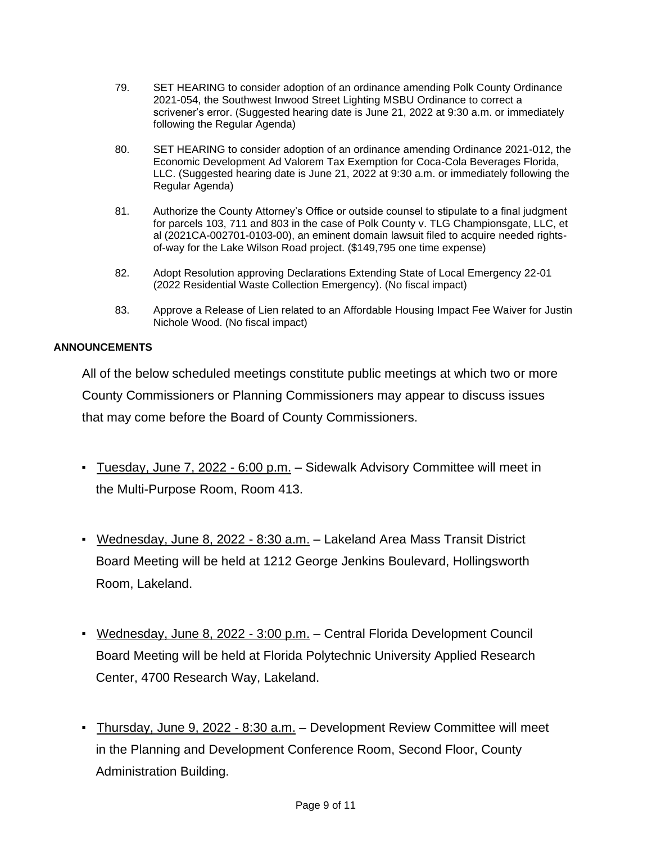- 79. SET HEARING to consider adoption of an ordinance amending Polk County Ordinance 2021-054, the Southwest Inwood Street Lighting MSBU Ordinance to correct a scrivener's error. (Suggested hearing date is June 21, 2022 at 9:30 a.m. or immediately following the Regular Agenda)
- 80. SET HEARING to consider adoption of an ordinance amending Ordinance 2021-012, the Economic Development Ad Valorem Tax Exemption for Coca-Cola Beverages Florida, LLC. (Suggested hearing date is June 21, 2022 at 9:30 a.m. or immediately following the Regular Agenda)
- 81. Authorize the County Attorney's Office or outside counsel to stipulate to a final judgment for parcels 103, 711 and 803 in the case of Polk County v. TLG Championsgate, LLC, et al (2021CA-002701-0103-00), an eminent domain lawsuit filed to acquire needed rightsof-way for the Lake Wilson Road project. (\$149,795 one time expense)
- 82. Adopt Resolution approving Declarations Extending State of Local Emergency 22-01 (2022 Residential Waste Collection Emergency). (No fiscal impact)
- 83. Approve a Release of Lien related to an Affordable Housing Impact Fee Waiver for Justin Nichole Wood. (No fiscal impact)

# **ANNOUNCEMENTS**

All of the below scheduled meetings constitute public meetings at which two or more County Commissioners or Planning Commissioners may appear to discuss issues that may come before the Board of County Commissioners.

- Tuesday, June 7, 2022 6:00 p.m. Sidewalk Advisory Committee will meet in the Multi-Purpose Room, Room 413.
- Wednesday, June 8, 2022 8:30 a.m. Lakeland Area Mass Transit District Board Meeting will be held at 1212 George Jenkins Boulevard, Hollingsworth Room, Lakeland.
- Wednesday, June 8, 2022 3:00 p.m. Central Florida Development Council Board Meeting will be held at Florida Polytechnic University Applied Research Center, 4700 Research Way, Lakeland.
- Thursday, June 9, 2022 8:30 a.m. Development Review Committee will meet in the Planning and Development Conference Room, Second Floor, County Administration Building.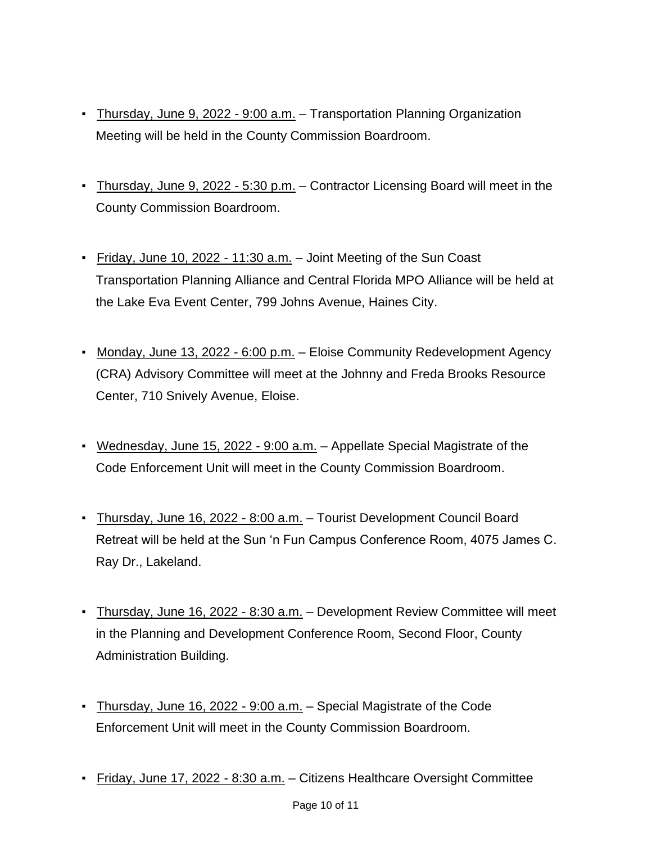- **Thursday, June 9, 2022 9:00 a.m.** Transportation Planning Organization Meeting will be held in the County Commission Boardroom.
- **Thursday, June 9, 2022 5:30 p.m.** Contractor Licensing Board will meet in the County Commission Boardroom.
- Friday, June 10, 2022 11:30 a.m. Joint Meeting of the Sun Coast Transportation Planning Alliance and Central Florida MPO Alliance will be held at the Lake Eva Event Center, 799 Johns Avenue, Haines City.
- Monday, June 13, 2022 6:00 p.m. Eloise Community Redevelopment Agency (CRA) Advisory Committee will meet at the Johnny and Freda Brooks Resource Center, 710 Snively Avenue, Eloise.
- Wednesday, June 15, 2022 9:00 a.m. Appellate Special Magistrate of the Code Enforcement Unit will meet in the County Commission Boardroom.
- Thursday, June 16, 2022 8:00 a.m. Tourist Development Council Board Retreat will be held at the Sun 'n Fun Campus Conference Room, 4075 James C. Ray Dr., Lakeland.
- **EXECT AT A THURSH 15, 2022 8:30 a.m. Development Review Committee will meet** in the Planning and Development Conference Room, Second Floor, County Administration Building.
- **Thursday, June 16, 2022 9:00 a.m.** Special Magistrate of the Code Enforcement Unit will meet in the County Commission Boardroom.
- Friday, June 17, 2022 8:30 a.m. Citizens Healthcare Oversight Committee